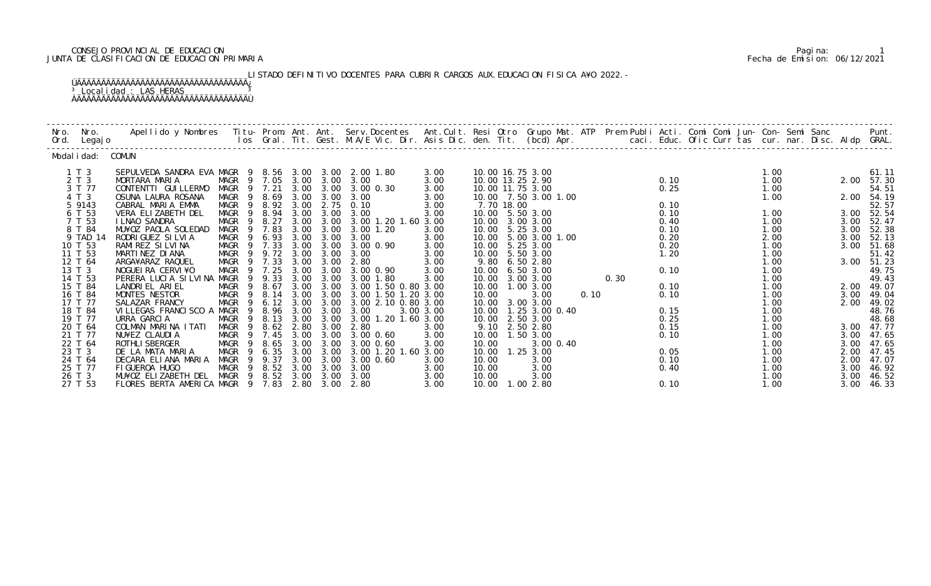# CONSEJO PROVINCIAL DE EDUCACION Pagina: 1 JUNTA DE CLASIFICACION DE EDUCACION PRIMARIA Fecha de Emision: 06/12/2021

LISTADO DEFINITIVO DOCENTES PARA CUBRIR CARGOS AUX. EDUCACION FISICA A¥O 2022. -ÚÄÄÄÄÄÄÄÄÄÄÄÄÄÄÄÄÄÄÄÄÄÄÄÄÄÄÄÄÄÄÄÄÄÄÄ¿

# <sup>3</sup> Localidad : LAS HERAS <sup>3</sup> ÀÄÄÄÄÄÄÄÄÄÄÄÄÄÄÄÄÄÄÄÄÄÄÄÄÄÄÄÄÄÄÄÄÄÄÄÙ

| Nro. Nro.<br>Ord. Legajo | Apellido y Nombres - Titu- Prom. Ant. Ant. Serv.Docentes - Ant.Cult. Resi Otro Grupo Mat. ATP Prem Publi Acti. Comi Comi Jun- Con- Semi Sanc - - Punt.<br>Ios Gral. Tit. Gest. M.A/E Vic. Dir. Asis Dic. den. Tit. (bcd) Apr. |                            |                  |      |           |                                 |              |       |            |                                    |      |      |              |  |              |              |                |
|--------------------------|-------------------------------------------------------------------------------------------------------------------------------------------------------------------------------------------------------------------------------|----------------------------|------------------|------|-----------|---------------------------------|--------------|-------|------------|------------------------------------|------|------|--------------|--|--------------|--------------|----------------|
| Modal i dad: COMUN       |                                                                                                                                                                                                                               |                            |                  |      |           |                                 |              |       |            |                                    |      |      |              |  |              |              |                |
| $1 \tImes 3$             | SEPULVEDA SANDRA EVA MAGR 9 8.56 3.00 3.00 2.00 1.80                                                                                                                                                                          |                            |                  |      |           |                                 | 3.00         |       |            | 10.00 16.75 3.00                   |      |      |              |  | 1.00         |              | 61.11          |
| 2 T 3                    | MORTARA MARIA                                                                                                                                                                                                                 | MAGR 9 7.05 3.00 3.00 3.00 |                  |      |           |                                 | 3.00         |       |            | 10.00 13.25 2.90                   |      |      | 0.10         |  | 1.00         |              | 2.00 57.30     |
| 3 T 77                   | CONTENTTI GUI LLERMO                                                                                                                                                                                                          | MAGR 9 7.21                |                  |      |           | 3.00 3.00 3.00 0.30             | 3.00         |       |            | 10.00 11.75 3.00                   |      |      | 0.25         |  | 1.00         |              | 54.51          |
| 4 T 3                    | OSUNA LAURA ROSANA                                                                                                                                                                                                            |                            | MAGR 9 8.69 3.00 |      | 3.00      | 3.00                            | 3.00         |       |            | 10.00 7.50 3.00 1.00               |      |      |              |  | 1.00         |              | 2.00 54.19     |
| 5 9143                   | CABRAL MARIA EMMA                                                                                                                                                                                                             | MAGR 9 8.92 3.00           |                  |      | 2.75      | 0.10                            | 3.00         |       | 7.70 18.00 |                                    |      |      | 0.10         |  |              |              | 52.57          |
| 6 T 53                   | VERA ELIZABETH DEL<br><b>I LNAO SANDRA</b>                                                                                                                                                                                    | MAGR 9 8.94 3.00 3.00      |                  | 3.00 | 3.00      | 3.00<br>3.00 1.20 1.60 3.00     | 3.00         |       |            | 10.00 5.50 3.00<br>10.00 3.00 3.00 |      |      | 0.10<br>0.40 |  | 1.00<br>1.00 |              | 3.00 52.54     |
| 7 T 53<br>8 T 84         | MU¥OZ PAOLA SOLEDAD                                                                                                                                                                                                           | MAGR<br>MAGR 9 7.83        | 9 8.27           | 3.00 | 3.00      | 3.00 1.20                       | 3.00         |       |            | 10.00 5.25 3.00                    |      |      | 0.10         |  | 1.00         | 3.00<br>3.00 | 52.47<br>52.38 |
| 9 TAD 14                 | RODRI GUEZ SI LVI A                                                                                                                                                                                                           | MAGR 9 6.93                |                  | 3.00 | 3.00      | 3.00                            | 3.00         |       |            | 10.00 5.00 3.00 1.00               |      |      | 0.20         |  | 2.00         |              | 3.00 52.13     |
| 10 T 53                  | RAMI REZ SI LVI NA                                                                                                                                                                                                            |                            |                  |      |           | MAGR 9 7.33 3.00 3.00 3.00 0.90 | 3.00         |       |            | 10.00 5.25 3.00                    |      |      | 0.20         |  | 1.00         |              | 3.00 51.68     |
| 11 T 53                  | MARTINEZ DI ANA                                                                                                                                                                                                               | MAGR 9 9.72 3.00           |                  |      | 3.00      | 3.00                            | 3.00         |       |            | 10.00 5.50 3.00                    |      |      | 1.20         |  | 1.00         |              | 51.42          |
| 12 T 64                  | ARGA¥ARAZ RAQUEL                                                                                                                                                                                                              | MAGR 9 7.33                |                  | 3.00 | 3.00      | 2.80                            | 3.00         |       |            | 9.80 6.50 2.80                     |      |      |              |  | 1.00         |              | 3.00 51.23     |
| 13 T 3                   | NOGUEI RA CERVI ¥O                                                                                                                                                                                                            | MAGR 9 7.25                |                  | 3.00 | 3.00      | 3.00 0.90                       | 3.00         |       |            | 10.00 6.50 3.00                    |      |      | 0.10         |  | 1.00         |              | 49.75          |
| 14 T 53                  | PERERA LUCIA SILVINA MAGR 9 9.33                                                                                                                                                                                              |                            |                  |      |           | 3.00 3.00 3.00 1.80             | 3.00         |       |            | 10.00 3.00 3.00                    |      | 0.30 |              |  | 1.00         |              | 49.43          |
| 15 T 84                  | LANDRIEL ARIEL                                                                                                                                                                                                                | MAGR 9                     | 8.67             | 3.00 | 3.00      | 3.00 1.50 0.80 3.00             |              |       |            | 10.00  1.00  3.00                  |      |      | 0.10         |  | 1.00         |              | 2.00 49.07     |
| 16 T 84                  | MONTES NESTOR                                                                                                                                                                                                                 | MAGR 9 8.14                |                  | 3.00 | 3.00      | 3.00 1.50 1.20 3.00             |              | 10.00 |            | 3.00                               | 0.10 |      | 0.10         |  | 1.00         | 3.00         | 49.04          |
| 17 T 77                  | SALAZAR FRANCY                                                                                                                                                                                                                | MAGR 9 6.12 3.00           |                  |      | 3.00      | 3.00 2.10 0.80 3.00             |              |       |            | 10.00 3.00 3.00                    |      |      |              |  | 1.00         | 2.00         | 49.02          |
| 18 T 84                  | VILLEGAS FRANCISCO A MAGR 9 8.96 3.00 3.00 3.00<br>URRA GARCIA MAGR 9 8.13 3.00 3.00 3.00                                                                                                                                     |                            |                  |      |           |                                 | 3.00 3.00    |       |            | 10.00  1.25  3.00  0.40            |      |      | 0.15         |  | 1.00         |              | 48.76<br>48.68 |
| 19 T 77                  |                                                                                                                                                                                                                               |                            |                  |      |           | 3.00 1.20 1.60 3.00             |              | 10.00 |            | 2.50 3.00                          |      |      | 0.25         |  | 1.00         |              |                |
| 20 T 64                  | COLMAN MARINA ITATI                                                                                                                                                                                                           | MAGR 9 8.62 2.80           |                  |      | 3.00      | 2.80                            | 3.00         |       |            | 9.10 2.50 2.80                     |      |      | 0.15         |  | 1.00         |              | 3.00 47.77     |
| 21 T 77                  | NU¥EZ CLAUDIA                                                                                                                                                                                                                 | MAGR 9 7.45                |                  |      |           | 3.00 3.00 3.00 0.60             | 3.00         |       |            | 10.00  1.50  3.00                  |      |      | 0.10         |  | 1.00         |              | 3.00 47.65     |
| 22 T 64                  | <b>ROTHLI SBERGER</b>                                                                                                                                                                                                         | MAGR<br>9                  | 8.65             | 3.00 |           | 3.00 3.00 0.60                  | 3.00         | 10.00 |            | 3.00 0.40                          |      |      |              |  | 1.00         | 3.00         | 47.65          |
| 23 T 3                   | DE LA MATA MARIA                                                                                                                                                                                                              | MAGR<br>$\overline{9}$     | 6.35             | 3.00 | 3.00      | 3.00 1.20 1.60 3.00             |              |       |            | 10.00  1.25  3.00                  |      |      | 0.05         |  | 1.00         | 2.00         | 47.45          |
| 24 T 64                  | DECARA ELIANA MARIA                                                                                                                                                                                                           | MAGR 9 9.37                |                  |      | 3.00 3.00 | $3.00 \, 0.60$                  | 3.00         | 10.00 |            | 3.00                               |      |      | 0.10         |  | 1.00         | 2.00         | 47.07          |
| 25 T 77                  | FI GUEROA HUGO                                                                                                                                                                                                                | MAGR 9 8.52 3.00 3.00 3.00 |                  |      |           |                                 | 3.00         | 10.00 |            | 3.00                               |      |      | 0.40         |  | 1.00         | 3.00         | 46.92          |
| 26 T 3<br>27 T 53        | MU¥OZ ELIZABETH DEL MAGR 9 8.52 3.00 3.00 3.00<br>FLORES BERTA AMERICA MAGR 9 7.83 2.80 3.00 2.80                                                                                                                             |                            |                  |      |           |                                 | 3.00<br>3.00 | 10.00 |            | 3.00<br>10.00  1.00  2.80          |      |      | 0.10         |  | 1.00<br>1.00 | 3.00<br>3.00 | 46.52<br>46.33 |
|                          |                                                                                                                                                                                                                               |                            |                  |      |           |                                 |              |       |            |                                    |      |      |              |  |              |              |                |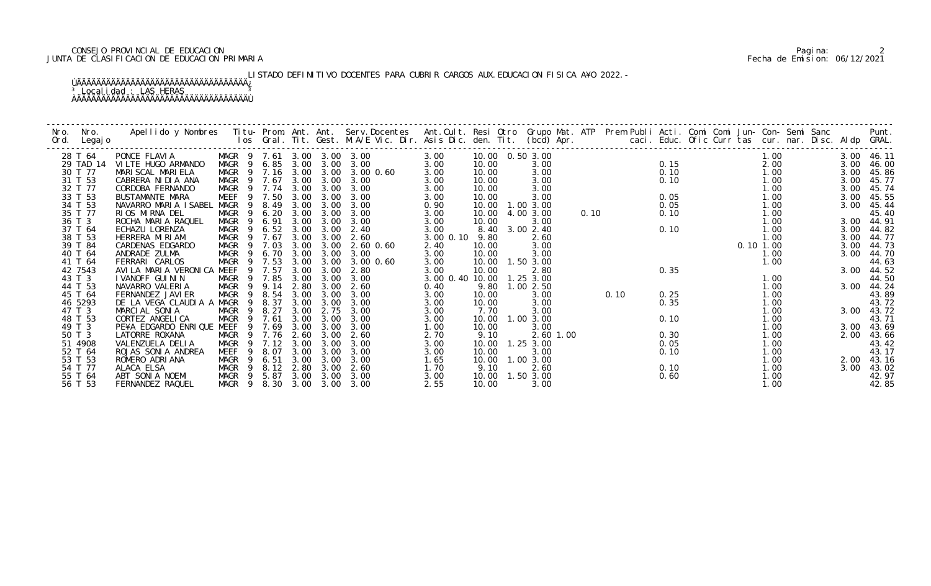# CONSEJO PROVINCIAL DE EDUCACION Pagina: 2 JUNTA DE CLASIFICACION DE EDUCACION PRIMARIA Fecha de Emision: 06/12/2021

LISTADO DEFINITIVO DOCENTES PARA CUBRIR CARGOS AUX. EDUCACION FISICA A¥O 2022. -

| Nro.<br>Ord. | Nro.<br>Legaj o | Apellido y Nombres  Titu- Prom. Ant. Ant. Serv.Docentes  Ant.Cult. Resi Otro Grupo Mat. ATP  Prem Publi Acti. Comi Comi Jun- Con- Semi Sanc        Punt.<br>Ios Gral. Tit. Gest. M.A/E Vic. Dir. Asis Dic. den. Tit. (bcd) Apr. |                        |                            |      |      |                   |                 |       |                   |      |      |      |          |      |      |            |
|--------------|-----------------|---------------------------------------------------------------------------------------------------------------------------------------------------------------------------------------------------------------------------------|------------------------|----------------------------|------|------|-------------------|-----------------|-------|-------------------|------|------|------|----------|------|------|------------|
|              | 28 T 64         | PONCE FLAVIA                                                                                                                                                                                                                    |                        | MAGR 9 7.61 3.00 3.00 3.00 |      |      |                   | 3.00            |       | 10.00  0.50  3.00 |      |      |      |          | 1.00 |      | 3.00 46.11 |
|              | 29 TAD 14       | VILTE HUGO ARMANDO                                                                                                                                                                                                              |                        | MAGR 9 6.85 3.00           |      |      | $3.00 \quad 3.00$ | 3.00            | 10.00 | 3.00              |      |      | 0.15 |          | 2.00 | 3.00 | 46.00      |
|              | 30 T 77         | MARI SCAL MARI ELA                                                                                                                                                                                                              |                        | MAGR 9 7.16 3.00           |      |      | 3.00 3.00 0.60    | 3.00            | 10.00 | 3.00              |      |      | 0.10 |          | 1.00 |      | 3.00 45.86 |
|              | 31 T 53         | CABRERA NI DI A ANA                                                                                                                                                                                                             |                        | MAGR 9 7.67                | 3.00 | 3.00 | 3.00              | 3.00            | 10.00 | 3.00              |      |      | 0.10 |          | 1.00 | 3.00 | 45.77      |
|              | 32 T 77         | CORDOBA FERNANDO                                                                                                                                                                                                                | MAGR                   | 9 7.74                     | 3.00 | 3.00 | 3.00              | 3.00            | 10.00 | 3.00              |      |      |      |          | 1.00 | 3.00 | 45.74      |
|              | 33 T 53         | BUSTAMANTE MARA                                                                                                                                                                                                                 | MEEF                   | 9 7.50                     | 3.00 | 3.00 | 3.00              | 3.00            | 10.00 | 3.00              |      |      | 0.05 |          | 1.00 | 3.00 | 45.55      |
|              | 34 T 53         | NAVARRO MARIA ISABEL                                                                                                                                                                                                            | MAGR                   | 9 8.49                     | 3.00 | 3.00 | 3.00              | 0.90            |       | 10.00  1.00  3.00 |      |      | 0.05 |          | 1.00 | 3.00 | 45.44      |
|              | 35 T 77         | RIOS MIRNA DEL                                                                                                                                                                                                                  | MAGR<br>- 9            | 6.20                       | 3.00 | 3.00 | 3.00              | 3.00            | 10.00 | 4.00 3.00         | 0.10 |      | 0.10 |          | 1.00 |      | 45.40      |
|              | 36 T 3          | ROCHA MARIA RAQUEL                                                                                                                                                                                                              | MAGR<br>- 9            | 6.91                       | 3.00 | 3.00 | 3.00              | 3.00            | 10.00 | 3.00              |      |      |      |          | 1.00 | 3.00 | 44.91      |
|              | 37 T 64         | ECHAZU LORENZA                                                                                                                                                                                                                  | MAGR<br>- 9            | $6.52 \quad 3.00$          |      | 3.00 | 2.40              | 3.00            |       | 8.40 3.00 2.40    |      |      | 0.10 |          | 1.00 | 3.00 | 44.82      |
|              | 38 T 53         | HERRERA MIRIAM                                                                                                                                                                                                                  |                        | MAGR 9 7.67                | 3.00 | 3.00 | 2.60              | 3.00 0.10       | 9.80  | 2.60              |      |      |      |          | 1.00 | 3.00 | 44.77      |
|              | 39 T 84         | CARDENAS EDGARDO                                                                                                                                                                                                                |                        | MAGR 9 7.03                | 3.00 | 3.00 | 2.60 0.60         | 2.40            | 10.00 | 3.00              |      |      |      | 0.101.00 |      | 3.00 | 44.73      |
|              | 40 T 64         | ANDRADE ZULMA                                                                                                                                                                                                                   | MAGR<br>$\overline{9}$ | 6.70                       | 3.00 | 3.00 | 3.00              | 3.00            | 10.00 | 3.00              |      |      |      |          | 1.00 |      | 3.00 44.70 |
|              | 41 T 64         | FERRARI CARLOS                                                                                                                                                                                                                  | MAGR<br>- 9            | 7.53                       | 3.00 | 3.00 | 3.00 0.60         | 3.00            |       | 10.00  1.50  3.00 |      |      |      |          | 1.00 |      | 44.63      |
|              | 42 7543         | AVILA MARIA VERONICA MEEF                                                                                                                                                                                                       |                        | 9 7.57                     | 3.00 | 3.00 | 2.80              | 3.00            | 10.00 | 2.80              |      |      | 0.35 |          |      |      | 3.00 44.52 |
|              | 43 T 3          | I VANOFF GUI NI N                                                                                                                                                                                                               | MAGR<br>- 9            | 7.85                       | 3.00 | 3.00 | 3.00              | 3.00 0.40 10.00 |       | 1.253.00          |      |      |      |          | 1.00 |      | 44.50      |
|              | 44 T 53         | NAVARRO VALERIA                                                                                                                                                                                                                 | MAGR<br>$\overline{9}$ | 9.14                       | 2.80 | 3.00 | 2.60              | 0.40            | 9.80  | 1.002.50          |      |      |      |          | 1.00 |      | 3.00 44.24 |
|              | 45 T 64         | FERNANDEZ JAVI ER                                                                                                                                                                                                               | MAGR<br>- 9            | 8.54                       | 3.00 | 3.00 | 3.00              | 3.00            | 10.00 | 3.00              |      | 0.10 | 0.25 |          | 1.00 |      | 43.89      |
|              | 46 5293         | DE LA VEGA CLAUDIA A MAGR                                                                                                                                                                                                       |                        | 8.37<br>$\overline{9}$     | 3.00 | 3.00 | 3.00              | 3.00            | 10.00 | 3.00              |      |      | 0.35 |          | 1.00 |      | 43.72      |
|              | 47 T 3          | MARCIAL SONIA                                                                                                                                                                                                                   | MAGR<br>- 9            | 8.27                       | 3.00 | 2.75 | 3.00              | 3.00            | 7.70  | 3.00              |      |      |      |          | 1.00 |      | 3.00 43.72 |
|              | 48 T 53         | CORTEZ ANGELICA                                                                                                                                                                                                                 | MAGR                   | 7.61                       | 3.00 | 3.00 | 3.00              | 3.00            |       | 10.00  1.00  3.00 |      |      | 0.10 |          | 1.00 |      | 43.71      |
|              | 49 T 3          | PE¥A EDGARDO ENRIQUE MEEF                                                                                                                                                                                                       |                        | 9 7.69                     | 3.00 | 3.00 | 3.00              | 1.00            | 10.00 | 3.00              |      |      |      |          | 1.00 |      | 3.00 43.69 |
|              | 50 T 3          | LATORRE ROXANA                                                                                                                                                                                                                  | MAGR                   | 9 7.76                     | 2.60 | 3.00 | 2.60              | 2.70            | 9.10  | 2.60 1.00         |      |      | 0.30 |          | 1.00 |      | 2.00 43.66 |
|              | 51 4908         | VALENZUELA DELIA                                                                                                                                                                                                                | <b>MAGR</b>            | 7.12<br>-9                 | 3.00 | 3.00 | 3.00              | 3.00            | 10.00 | 1.25 3.00         |      |      | 0.05 |          | 1.00 |      | 43.42      |
|              | 52 T 64         | ROJAS SONIA ANDREA                                                                                                                                                                                                              | MEEF                   | 8.07                       | 3.00 | 3.00 | 3.00              | 3.00            | 10.00 | 3.00              |      |      | 0.10 |          | 1.00 |      | 43.17      |
|              | 53 T 53         | ROMERO ADRIANA                                                                                                                                                                                                                  | MAGR<br>$\overline{9}$ | 6.51                       | 3.00 | 3.00 | 3.00              | 1.65            | 10.00 | 1.00 3.00         |      |      |      |          | 1.00 |      | 2.00 43.16 |
|              | 54 T 77         | ALACA ELSA                                                                                                                                                                                                                      | MAGR <sub>9</sub>      | 8.12                       | 2.80 | 3.00 | 2.60              | 1.70            | 9.10  | 2.60              |      |      | 0.10 |          | 1.00 |      | 3.00 43.02 |
|              | 55 T 64         | ABT SONIA NOEMI                                                                                                                                                                                                                 | MAGR 9                 | 5.87                       | 3.00 | 3.00 | 3.00              | 3.00            | 10.00 | 1.50 3.00         |      |      | 0.60 |          | 1.00 |      | 42.97      |
|              | 56 T 53         | FERNANDEZ RAQUEL                                                                                                                                                                                                                |                        | MAGR 9 8.30 3.00 3.00 3.00 |      |      |                   | 2.55            | 10.00 | 3.00              |      |      |      |          | 1.00 |      | 42.85      |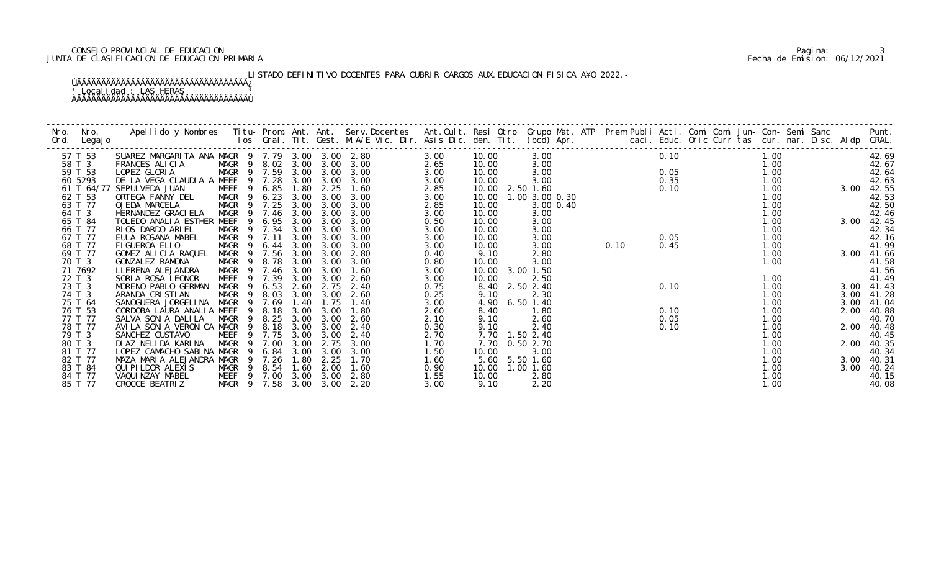# CONSEJO PROVINCIAL DE EDUCACION Pagina: 3 JUNTA DE CLASIFICACION DE EDUCACION PRIMARIA Fecha de Emision: 06/12/2021

LISTADO DEFINITIVO DOCENTES PARA CUBRIR CARGOS AUX. EDUCACION FISICA A¥O 2022. -

| Nro. | Nro.<br>Ord. Legajo | Apellido y Nombres - Titu- Prom. Ant. Ant. Serv.Docentes - Ant.Cult. Resi Otro- Grupo Mat. ATP - Prem Publi Acti. Comi Comi Jun- Con- Semi Sanc - - - Punt.<br>Ios Gral. Tit. Gest. M.A/E Vic. Dir. Asis Dic. den. Tit. (bcd) Apr |                            |        |      |           |      |      |                 |           |                |      |      |                |                                                     |  |            |                |
|------|---------------------|-----------------------------------------------------------------------------------------------------------------------------------------------------------------------------------------------------------------------------------|----------------------------|--------|------|-----------|------|------|-----------------|-----------|----------------|------|------|----------------|-----------------------------------------------------|--|------------|----------------|
|      | 57 T 53             | SUAREZ MARGARITA ANA MAGR 9 7.79 3.00 3.00 2.80                                                                                                                                                                                   |                            |        |      |           |      | 3.00 | 10.00           |           | 3.00           |      | 0.10 |                | 1.00                                                |  |            | 42.69          |
|      | 58 T 3              | FRANCES ALICIA                                                                                                                                                                                                                    | MAGR 9 8.02 3.00 3.00 3.00 |        |      |           |      | 2.65 | 10.00           |           | 3.00           |      |      | $0.05$<br>0.35 | 1.00                                                |  |            | 42.67          |
|      | 59 T 53             | LOPEZ GLORIA                                                                                                                                                                                                                      | MAGR 9 7.59 3.00           |        |      | 3.00      | 3.00 | 3.00 | 10.00           |           | 3.00           |      |      |                | $\begin{array}{c} 1.00 \\ 1.00 \\ 1.00 \end{array}$ |  |            | 42.64          |
|      | 60 5293             | DE LA VEGA CLAUDIA A MEEF 9 7.28                                                                                                                                                                                                  |                            |        |      | 3.00 3.00 | 3.00 | 3.00 | 10.00           |           | 3.00           |      |      |                |                                                     |  |            | 42.63          |
|      |                     | 61 T 64/77 SEPULVEDA JUAN                                                                                                                                                                                                         | MEEF                       | 9 6.85 | 1.80 | 2.25      | 1.60 | 2.85 | 10.00 2.50 1.60 |           |                |      | 0.10 |                |                                                     |  | 3.00 42.55 |                |
|      | 62 T 53             | ORTEGA FANNY DEL                                                                                                                                                                                                                  | MAGR 9 6.23 3.00           |        |      | 3.00      | 3.00 | 3.00 | 10.00           |           | 1.00 3.00 0.30 |      |      |                | 1.00                                                |  |            | 42.53          |
|      | 63 T 77             | OJEDA MARCELA                                                                                                                                                                                                                     | MAGR 9 7.25                |        | 3.00 | 3.00      | 3.00 | 2.85 | 10.00           |           | 3.00 0.40      |      |      |                | 1.00                                                |  |            | 42.50          |
|      | 64 T 3              | HERNANDEZ GRACI ELA                                                                                                                                                                                                               | MAGR 9 7.46 3.00           |        |      | 3.00      | 3.00 | 3.00 | 10.00           |           | 3.00           |      |      |                | 1.00                                                |  |            | 42.46          |
|      | 65 T 84             | TOLEDO ANALIA ESTHER MEEF                                                                                                                                                                                                         | - 9                        | 6.95   | 3.00 | 3.00      | 3.00 | 0.50 | 10.00           |           | 3.00           |      |      |                | 1.00                                                |  |            | 3.00 42.45     |
|      | 66 T 77             | RIOS DARDO ARIEL                                                                                                                                                                                                                  | MAGR 9 7.34                |        | 3.00 | 3.00      | 3.00 | 3.00 | 10.00           |           | 3.00           |      |      |                | 1.00                                                |  |            | 42.34          |
|      | 67 T 77             | EULA ROSANA MABEL                                                                                                                                                                                                                 | MAGR 9 7.11                |        | 3.00 | 3.00      | 3.00 | 3.00 | 10.00           |           | 3.00           |      | 0.05 |                | 1.00                                                |  |            | 42.16<br>41.99 |
|      | 68 T 77             | FIGUEROA ELIO                                                                                                                                                                                                                     | MAGR 9 6.44 3.00           |        |      | 3.00      | 3.00 | 3.00 | 10.00           |           | 3.00           | 0.10 | 0.45 |                | 1. 00<br>1. 00                                      |  |            |                |
|      | 69 T 77             | GOMEZ ALICIA RAQUEL                                                                                                                                                                                                               | MAGR 9 7.56                |        | 3.00 | 3.00      | 2.80 | 0.40 | 9.10            |           | 2.80           |      |      |                | 1.00                                                |  | 3.00 41.66 |                |
|      | 70 T 3              | GONZALEZ RAMONA                                                                                                                                                                                                                   | MAGR 9 8.78                |        | 3.00 | 3.00      | 3.00 | 0.80 | 10.00           |           | 3.00           |      |      |                | 1.00                                                |  |            | 41.58          |
|      | 71 7692             | LLERENA ALEJANDRA                                                                                                                                                                                                                 | MAGR 9 7.46                |        | 3.00 | 3.00      | 1.60 | 3.00 | 10.00 3.00 1.50 |           |                |      |      |                |                                                     |  |            | 41.56          |
|      | 72 T 3              | SORIA ROSA LEONOR                                                                                                                                                                                                                 | MEEF                       | 9 7.39 | 3.00 | 3.00      | 2.60 | 3.00 | 10.00           |           | 2.50           |      |      |                | 1.00                                                |  |            | 41.49          |
|      | 73 T 3              | MORENO PABLO GERMAN                                                                                                                                                                                                               | MAGR 9 6.53                |        | 2.60 | 2.75      | 2.40 | 0.75 | 8.40            | 2.50 2.40 |                |      | 0.10 |                | 1.00                                                |  |            | 3.00 41.43     |
|      | 74 T 3              | ARANDA CRISTIAN                                                                                                                                                                                                                   | MAGR                       | 9 8.03 | 3.00 | 3.00      | 2.60 | 0.25 | 9.10            |           | 2.30           |      |      |                | 1.00                                                |  | 3.00       | 41.28          |
|      | 75 T 64             | SANOGUERA JORGELINA MAGR 9 7.69                                                                                                                                                                                                   |                            |        | 1.40 | 1.75      | 1.40 | 3.00 | 4.90            |           | 6.50 1.40      |      |      |                | 1.00                                                |  | 3.00       | 41.04          |
|      | 76 T 53             | CORDOBA LAURA ANALIA MEEF                                                                                                                                                                                                         |                            | 9 8.18 | 3.00 | 3.00      | 1.80 | 2.60 | 8.40            |           | 1.80           |      | 0.10 |                | 1.00                                                |  |            | 2.00 40.88     |
|      | 77 T 77             | SALVA SONI A DALI LA                                                                                                                                                                                                              | MAGR                       | 9 8.25 | 3.00 | 3.00      | 2.60 | 2.10 | 9.10            |           | 2.60           |      | 0.05 |                | 1.00                                                |  |            | 40.70          |
|      | 78 T 77             | AVILA SONIA VERONICA MAGR                                                                                                                                                                                                         |                            | 9 8.18 | 3.00 | 3.00      | 2.40 | 0.30 | 9.10            |           | 2.40           |      | 0.10 |                | 1.00                                                |  |            | 2.00 40.48     |
|      | 79 T 3              | SANCHEZ GUSTAVO                                                                                                                                                                                                                   | MEEF                       | 9 7.75 | 3.00 | 3.00      | 2.40 | 2.70 | 7.70 1.50 2.40  |           |                |      |      |                | 1.00                                                |  |            | 40.45          |
|      | 80 T 3              | DI AZ NELIDA KARINA                                                                                                                                                                                                               | MAGR                       | 9 7.00 | 3.00 | 2.75      | 3.00 | 1.70 | 7.70            |           | 0.50 2.70      |      |      |                | 1.00                                                |  | 2.00       | 40.35          |
|      | 81 T 77             | LOPEZ CAMACHO SABINA MAGR                                                                                                                                                                                                         | - 9                        | 6. 84  | 3.00 | 3.00      | 3.00 | 1.50 | 10.00           |           | 3.00           |      |      |                | 1.00                                                |  |            | 40.34          |
|      | 82 T 77             | MAZA MARIA ALEJANDRA MAGR                                                                                                                                                                                                         |                            | 9 7.26 | 1.80 | 2.25      | 1.70 | 1.60 | 5.60 5.50 1.60  |           |                |      |      |                | 1.00                                                |  |            | 3.00 40.31     |
|      | 83 T 84             | QUI PI LDOR ALEXI S                                                                                                                                                                                                               | MAGR 9 8.54                |        | 1.60 | 2.00      | 1.60 | 0.90 | 10.00 1.00 1.60 |           |                |      |      |                | 1.00                                                |  | 3.00       | 40.24          |
|      | 84 T 77             | VAQUI NZAY MABEL                                                                                                                                                                                                                  | MEEF 9 7.00 3.00           |        |      | 3.00      | 2.80 | 1.55 | 10.00           |           | 2.80           |      |      |                | 1.00                                                |  |            | 40.15          |
|      | 85 T 77             | CROCCE BEATRIZ                                                                                                                                                                                                                    | MAGR 9 7.58 3.00 3.00 2.20 |        |      |           |      | 3.00 | 9.10            |           | 2.20           |      |      |                | 1.00                                                |  |            | 40.08          |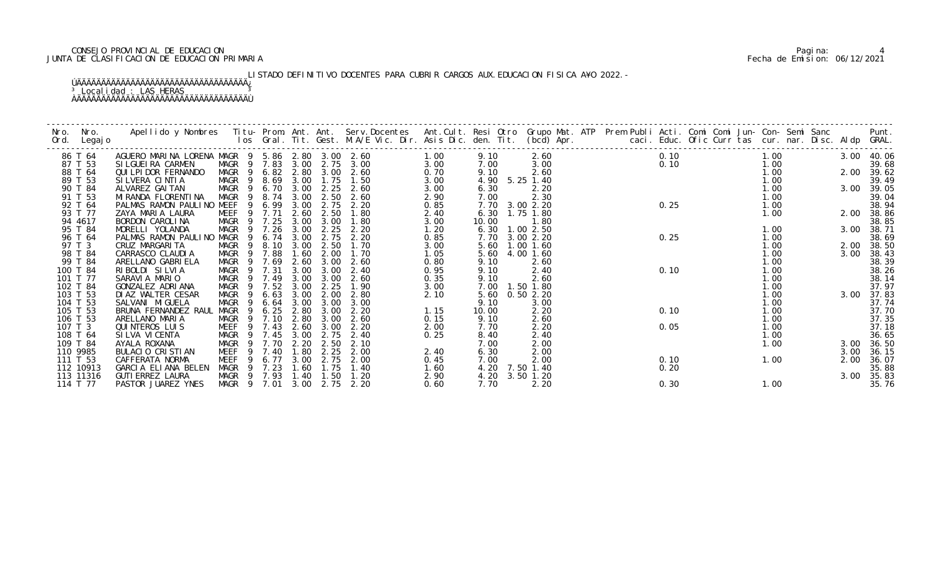# CONSEJO PROVINCIAL DE EDUCACION Pagina: 4 JUNTA DE CLASIFICACION DE EDUCACION PRIMARIA Fecha de Emision: 06/12/2021

LISTADO DEFINITIVO DOCENTES PARA CUBRIR CARGOS AUX. EDUCACION FISICA A¥O 2022. -

| Nro.<br>Ord. | Nro.<br>Legaj o | Apellido y Nombres  Titu- Prom. Ant. Ant. Serv.Docentes  Ant.Cult. Resi Otro Grupo Mat. ATP Prem Publi Acti. Comi Comi Jun- Con- Semi Sanc         Punt.<br>Ios Gral. Tit. Gest. M.A/E Vic. Dir. Asis Dic. den. Tit. (bcd) Apr. |                                 |                |        |             |      |              |      |       |                |  |      |      |      |      |                |
|--------------|-----------------|---------------------------------------------------------------------------------------------------------------------------------------------------------------------------------------------------------------------------------|---------------------------------|----------------|--------|-------------|------|--------------|------|-------|----------------|--|------|------|------|------|----------------|
|              | 86 T 64         | AGUERO MARINA LORENA MAGR 9 5.86 2.80 3.00 2.60                                                                                                                                                                                 |                                 |                |        |             |      |              | 1.00 | 9.10  | 2.60           |  | 0.10 |      | 1.00 |      | 3.00 40.06     |
|              | 87 T 53         | SI LGUEI RA CARMEN                                                                                                                                                                                                              | MAGR 9 7.83 3.00                |                |        |             |      | 2.75 3.00    | 3.00 | 7.00  | 3.00           |  |      |      | 1.00 |      | 39.68          |
|              | 88 T 64         | QUI LPI DOR FERNANDO                                                                                                                                                                                                            | MAGR 9 6.82 2.80                |                |        |             | 3.00 | 2.60         | 0.70 | 9.10  | 2.60           |  |      | 0.10 | 1.00 |      | 2.00 39.62     |
|              | 89 T 53         | SILVERA CINTIA                                                                                                                                                                                                                  | MAGR 9 8.69                     |                |        | 3.00        | 1.75 | 1.50         | 3.00 | 4.90  | 5.25 1.40      |  |      |      | 1.00 |      | 39.49          |
|              | 90 T 84         | ALVAREZ GAI TAN                                                                                                                                                                                                                 | MAGR                            |                |        | 9 6.70 3.00 | 2.25 | 2.60         | 3.00 | 6.30  | 2.20           |  |      |      | 1.00 |      | 3.00 39.05     |
|              | 91 T 53         | MI RANDA FLORENTI NA                                                                                                                                                                                                            | MAGR                            | - 9            | 8.74   | 3.00        | 2.50 | 2.60         | 2.90 | 7.00  | 2.30           |  |      |      | 1.00 |      | 39.04          |
|              | 92 T 64         | PALMAS RAMON PAULINO MEEF                                                                                                                                                                                                       |                                 | -9             | 6.99   | 3.00        | 2.75 | 2.20         | 0.85 |       | 7.70 3.00 2.20 |  | 0.25 |      | 1.00 |      | 38.94          |
|              | 93 T 77         | ZAYA MARIA LAURA                                                                                                                                                                                                                | <b>MEEF</b>                     |                | 9 7.71 | 2.60        | 2.50 | 1.80         | 2.40 |       | 6.30 1.75 1.80 |  |      |      | 1.00 |      | 2.00 38.86     |
|              | 94 4617         | BORDON CAROLINA                                                                                                                                                                                                                 | MAGR                            | - 9            | 7.25   | 3.00        | 3.00 | 1.80         | 3.00 | 10.00 | 1.80           |  |      |      |      |      | 38.85          |
|              | 95 T 84         | MORELLI YOLANDA                                                                                                                                                                                                                 | MAGR                            |                | 7.26   | 3.00        | 2.25 | 2.20         | 1.20 | 6.30  | 1.002.50       |  |      |      | 1.00 | 3.00 | 38.71          |
|              | 96 T 64         | PALMAS RAMON PAULINO                                                                                                                                                                                                            | MAGR                            | - 9            | 6.74   | 3.00        | 2.75 | 2.20         | 0.85 | 7.70  | 3.00 2.20      |  | 0.25 |      | 1.00 |      | 38.69          |
|              | 97 T 3          | CRUZ MARGARI TA                                                                                                                                                                                                                 | MAGR                            | $\overline{9}$ | 8.10   | 3.00        | 2.50 | 1.70         | 3.00 | 5.60  | $1.00$ $1.60$  |  |      |      | 1.00 |      | 2.00 38.50     |
|              | 98 T 84         | CARRASCO CLAUDIA                                                                                                                                                                                                                | MAGR                            | - 9            | 7.88   | 1.60        | 2.00 | 1.70         | 1.05 | 5.60  | 4.00 1.60      |  |      |      | 1.00 | 3.00 | 38.43          |
|              | 99 T 84         | ARELLANO GABRI ELA                                                                                                                                                                                                              | MAGR                            |                | 7.69   | 2.60        | 3.00 | 2.60         | 0.80 | 9.10  | 2.60           |  |      |      | 1.00 |      | 38.39          |
|              | 100 T 84        | RIBOLDI SILVIA                                                                                                                                                                                                                  | MAGR 9 7.31                     |                |        | 3.00        | 3.00 | 2.40         | 0.95 | 9.10  | 2.40           |  | 0.10 |      | 1.00 |      | 38.26          |
|              | 101 T 77        | SARAVIA MARIO                                                                                                                                                                                                                   | MAGR                            |                | 9 7.49 | 3.00        | 3.00 | 2.60         | 0.35 | 9.10  | 2.60           |  |      |      | 1.00 |      | 38.14          |
|              | 102 T 84        | GONZALEZ ADRIANA                                                                                                                                                                                                                | MAGR                            | - 9            | 7.52   | 3.00        | 2.25 | 1.90         | 3.00 | 7.00  | 1.50 1.80      |  |      |      | 1.00 |      | 37.97          |
|              | 103 T 53        | DIAZ WALTER CESAR                                                                                                                                                                                                               | MAGR                            |                | 6.63   | 3.00        | 2.00 | 2.80         | 2.10 | 5.60  | 0.502.20       |  |      |      | 1.00 | 3.00 | 37.83          |
|              | 104 T 53        | SALVANI MI GUELA                                                                                                                                                                                                                | MAGR                            | - 9            | 6.64   | 3.00        | 3.00 | 3.00         |      | 9.10  | 3.00           |  |      |      | 1.00 |      | 37.74          |
|              | 105 T 53        | BRUNA FERNANDEZ RAUL                                                                                                                                                                                                            | MAGR                            | - 9            | 6.25   | 2.80        | 3.00 | 2.20         | 1.15 | 10.00 | 2.20           |  | 0.10 |      | 1.00 |      | 37.70          |
|              | 106 T 53        | ARELLANO MARIA                                                                                                                                                                                                                  | MAGR                            | $\overline{9}$ | 7.10   | 2.80        | 3.00 | 2.60         | 0.15 | 9.10  | 2.60           |  |      |      | 1.00 |      | 37.35          |
| 107 T 3      |                 | <b>QUINTEROS LUIS</b>                                                                                                                                                                                                           | MEEF                            |                | 7.43   | 2.60        | 3.00 | 2.20         | 2.00 | 7.70  | 2.20           |  | 0.05 |      | 1.00 |      | 37.18          |
|              | 108 T 64        | SI LVA VI CENTA                                                                                                                                                                                                                 | MAGR 9 7.45                     |                |        | 3.00        | 2.75 | 2.40         | 0.25 | 8.40  | 2.40           |  |      |      | 1.00 |      | 36.65          |
|              | 109 T 84        | AYALA ROXANA                                                                                                                                                                                                                    | MAGR                            |                | 9 7.70 | 2.20        | 2.50 | 2.10         |      | 7.00  | 2.00           |  |      |      | 1.00 | 3.00 | 36.50          |
|              | 110 9985        | BULACIO CRISTIAN                                                                                                                                                                                                                | MEEF                            | -9             | 7.40   | 1.80        | 2.25 | 2.00         | 2.40 | 6.30  | 2.00           |  |      |      |      | 3.00 | 36.15          |
|              | 111 T 53        | CAFFERATA NORMA                                                                                                                                                                                                                 | MEEF                            |                | 6.77   | 3.00        | 2.75 | 2.00         | 0.45 | 7.00  | 2.00           |  | 0.10 |      | 1.00 | 2.00 | 36.07          |
|              | 112 10913       | GARCIA ELIANA BELEN                                                                                                                                                                                                             | MAGR                            |                | 9 7.23 | 1.60        | 1.75 | 1.40         | 1.60 | 4.20  | 7.50 1.40      |  | 0.20 |      |      |      | 35.88          |
|              | 113 11316       | <b>GUTI ERREZ LAURA</b>                                                                                                                                                                                                         | MAGR 9 7.93 1.40<br>MAGR 9 7.01 |                |        |             | 1.50 | 1.20<br>2.20 | 2.90 | 7.70  | 4.20 3.50 1.20 |  |      |      |      | 3.00 | 35.83<br>35.76 |
|              | 114 T 77        | PASTOR JUAREZ YNES                                                                                                                                                                                                              |                                 |                |        | 3.00        | 2.75 |              | 0.60 |       | 2.20           |  | 0.30 |      | 1.00 |      |                |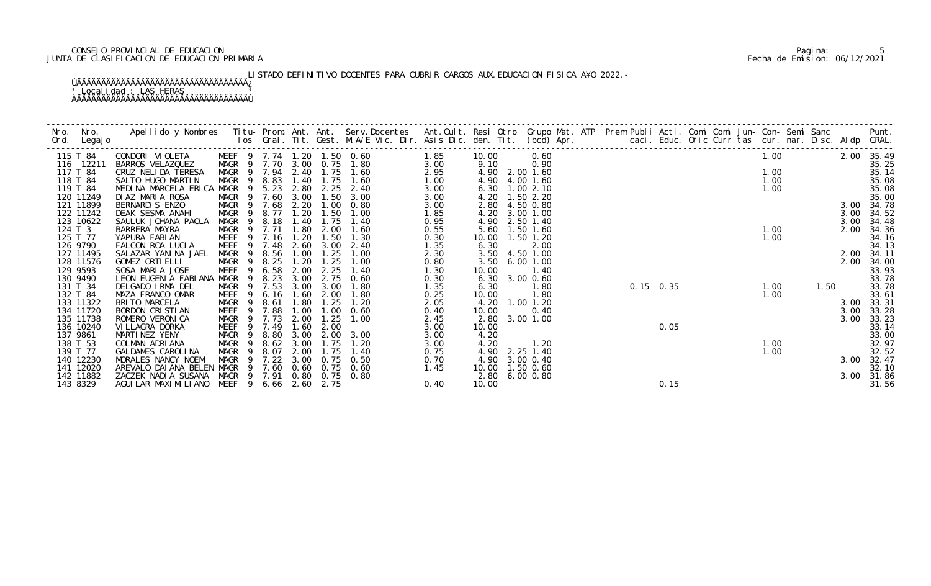# CONSEJO PROVINCIAL DE EDUCACION Pagina: 5 JUNTA DE CLASIFICACION DE EDUCACION PRIMARIA Fecha de Emision: 06/12/2021

LISTADO DEFINITIVO DOCENTES PARA CUBRIR CARGOS AUX. EDUCACION FISICA A¥O 2022. -

| 115 T 84              | CONDORI VIOLETA                                  |             |     |                       |              |              | MEEF 9 7.74 1.20 1.50 0.60 | 1.85         | 10.00             | 0.60                   |  |             |  | 1.00 |      |      | 2.00 35.49     |
|-----------------------|--------------------------------------------------|-------------|-----|-----------------------|--------------|--------------|----------------------------|--------------|-------------------|------------------------|--|-------------|--|------|------|------|----------------|
| 116 12211             | BARROS VELAZQUEZ                                 |             |     |                       |              |              | MAGR 9 7.70 3.00 0.75 1.80 | 3.00         | 9.10              | 0.90                   |  |             |  |      |      |      | 35.25          |
| 117 T 84              | CRUZ NELIDA TERESA                               |             |     |                       |              |              | MAGR 9 7.94 2.40 1.75 1.60 | 2.95         |                   | 4.90 2.00 1.60         |  |             |  | 1.00 |      |      | 35.14          |
| 118 T 84              | SALTO HUGO MARTIN                                |             |     | MAGR 9 8.83           |              |              | 1.40 1.75 1.60             | 1.00         | 4.90              | 4.00 1.60              |  |             |  | 1.00 |      |      | 35.08          |
| 119 T 84              | MEDINA MARCELA ERICA MAGR 9 5.23                 |             |     |                       | 2.80         | 2.25         | 2.40                       | 3.00         |                   | 6.30 1.00 2.10         |  |             |  | 1.00 |      |      | 35.08          |
| 120 11249             | DIAZ MARIA ROSA                                  |             |     | MAGR 9 7.60 3.00      |              |              | $1.50 \quad 3.00$          | 3.00         |                   | 4.20 1.50 2.20         |  |             |  |      |      |      | 35.00          |
| 121 11899             | BERNARDIS ENZO                                   |             |     | MAGR 9 7.68 2.20      |              | 1.00         | 0.80                       | 3.00         | 2.80              | 4.50 0.80              |  |             |  |      |      |      | 3.00 34.78     |
| 122 11242             | DEAK SESMA ANAHI                                 |             |     | MAGR 9 8.77 1.20 1.50 |              |              | 1.00                       | 1.85         | 4.20              | 3.00 1.00              |  |             |  |      |      |      | 3.00 34.52     |
| 123 10622             | SAULUK JOHANA PAOLA                              | MAGR 9      |     | 8.18                  | 1.40         | 1.75         | 1.40                       | 0.95         | 4.90              | 2.50 1.40              |  |             |  |      |      | 3.00 | 34.48          |
| 124 T 3               | BARRERA MAYRA                                    | MAGR 9 7.71 |     |                       | 1.80         | 2.00         | 1.60                       | 0.55         | 5.60              | 1.50 1.60              |  |             |  | 1.00 |      | 2.00 | 34.36          |
| 125 T 77              | YAPURA FABIAN                                    |             |     | MEEF 9 7.16 1.20      |              | 1.50         | 1.30                       | 0.30         | 10.00  1.50  1.20 |                        |  |             |  | 1.00 |      |      | 34.16          |
| 126 9790              | FALCON ROA LUCIA                                 | <b>MEEF</b> |     | 9 7.48                | 2.60         | 3.00         | 2.40                       | 1.35         | 6.30              | 2.00                   |  |             |  |      |      |      | 34.13          |
| 127 11495             | SALAZAR YANINA JAEL                              |             |     | MAGR 9 8.56           | 1.00         | 1.25         | 1.00                       | 2.30         |                   | 3.50 4.50 1.00         |  |             |  |      |      | 2.00 | 34.11          |
| 128 11576             | GOMEZ ORTI ELLI                                  | MAGR        |     | 9 8.25                | 1.20         | 1.25         | 1.00                       | 0.80         | 3.50              | 6.001.00               |  |             |  |      |      | 2.00 | 34.00          |
| 129 9593              | SOSA MARIA JOSE                                  | <b>MEEF</b> |     | 9 6.58                | 2.00         | 2.25         | 1.40                       | 1.30         | 10.00             | 1.40                   |  |             |  |      |      |      | 33.93          |
| 130 9490              | LEON EUGENIA FABIANA MAGR                        |             | - 9 | 8.23                  | 3.00         | 2.75         | 0.60                       | 0.30         | 6.30              | 3.00 0.60              |  |             |  |      |      |      | 33.78          |
| 131 T 34              | DELGADO IRMA DEL                                 | MAGR        |     | 9 7.53                | 3.00         | 3.00         | 1.80                       | 1.35         | 6.30              | 1.80                   |  | $0.15$ 0.35 |  | 1.00 | 1.50 |      | 33.78          |
| 132 T 84<br>133 11322 | MAZA FRANCO OMAR<br>BRITO MARCELA                | MAGR 9 8.61 |     | MEEF 9 6.16           | 1.60<br>1.80 | 2.00<br>1.25 | 1.80<br>1.20               | 0.25         | 10.00             | 1.80<br>4.20 1.00 1.20 |  |             |  | 1.00 |      | 3.00 | 33.61<br>33.31 |
| 134 11720             | BORDON CRISTIAN                                  | MEEF        |     | 9 7.88                | 1.00         | 1.00         | 0.60                       | 2.05<br>0.40 | 10.00             | 0.40                   |  |             |  |      |      | 3.00 | 33.28          |
| 135 11738             | ROMERO VERONICA                                  |             |     | MAGR 9 7.73           | 2.00         | 1.25         | 1.00                       | 2.45         |                   | 2.80 3.00 1.00         |  |             |  |      |      | 3.00 | 33.23          |
| 136 10240             | VI LLAGRA DORKA                                  |             |     | MEEF 9 7.49           | 1.60         | 2.00         |                            | 3.00         | 10.00             |                        |  | 0.05        |  |      |      |      | 33.14          |
| 137 9861              | MARTINEZ YENY                                    | MAGR        | - 9 | 8.80                  | 3.00         | 2.00         | 3.00                       | 3.00         | 4.20              |                        |  |             |  |      |      |      | 33.00          |
| 138 T 53              | COLMAN ADRIANA                                   | MAGR        | - 9 | 8.62                  | 3.00         | 1.75         | 1.20                       | 3.00         | 4.20              | 1.20                   |  |             |  | 1.00 |      |      | 32.97          |
| 139 T 77              | GALDAMES CAROLINA                                | MAGR        | - 9 | 8.07                  | 2.00         | 1.75         | 1.40                       | 0.75         |                   | 4.90 2.25 1.40         |  |             |  | 1.00 |      |      | 32.52          |
| 140 12230             | MORALES NANCY NOEMI                              |             |     | MAGR 9 7.22           | 3.00         |              | $0.75$ 0.50                | 0.70         |                   | 4.90 3.00 0.40         |  |             |  |      |      | 3.00 | 32.47          |
| 141 12020             | AREVALO DAI ANA BELEN MAGR 9 7.60 0.60 0.75 0.60 |             |     |                       |              |              |                            | 1.45         | 10.00 1.50 0.60   |                        |  |             |  |      |      |      | 32.10          |
| 142 11882             | ZACZEK NADIA SUSANA                              |             |     | MAGR 9 7.91           | 0.80         |              | 0.75 0.80                  |              |                   | 2.80 6.00 0.80         |  |             |  |      |      |      | 3.00 31.86     |
| 143 8329              | AGUI LAR MAXI MI LI ANO MEEF 9 6.66 2.60 2.75    |             |     |                       |              |              |                            | 0.40         | 10.00             |                        |  | 0.15        |  |      |      |      | 31.56          |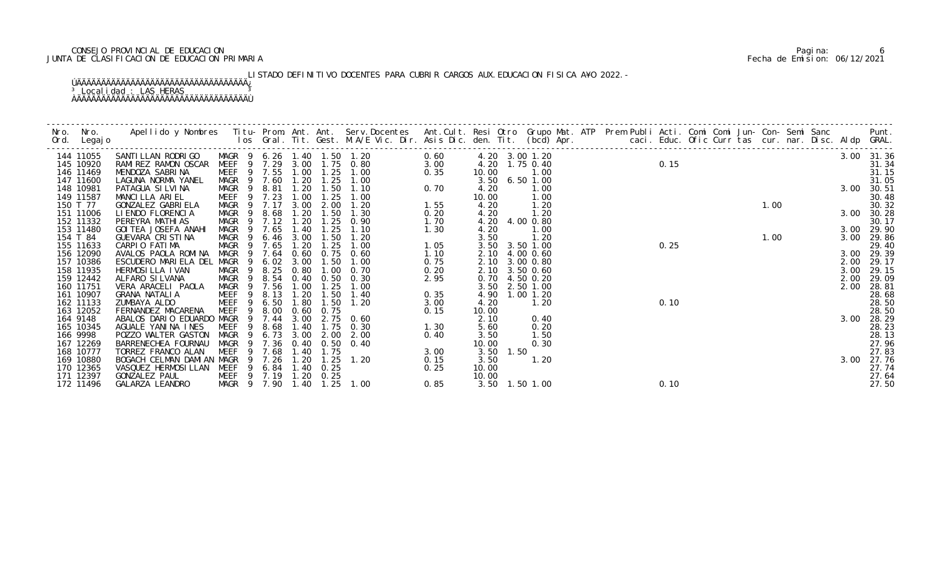# CONSEJO PROVINCIAL DE EDUCACION Pagina: 6 JUNTA DE CLASIFICACION DE EDUCACION PRIMARIA Fecha de Emision: 06/12/2021

LISTADO DEFINITIVO DOCENTES PARA CUBRIR CARGOS AUX. EDUCACION FISICA A¥O 2022.-

| Nro. | Nro. In the New York of the New York of the United States and the United States of the New York of the New Yor<br>Ord. Legajo | Apellido y Nombres Iitu-Prom. Ant. Ant. Serv.Docentes Ant.Cult. Resi Otro Grupo Mat. ATP Prem Publi Acti. Comi Comi Jun-Con-Semi Sanc Punt.<br>Ios Gral. Tit. Gest. M.A/E Vic. Dir. Asis Dic. den. Tit. (bcd) Apr. |                          |                |                |              |              |               |              |               |           |                                  |  |      |      |  |      |      |                     |
|------|-------------------------------------------------------------------------------------------------------------------------------|--------------------------------------------------------------------------------------------------------------------------------------------------------------------------------------------------------------------|--------------------------|----------------|----------------|--------------|--------------|---------------|--------------|---------------|-----------|----------------------------------|--|------|------|--|------|------|---------------------|
|      | 144 11055<br>145 10920                                                                                                        | SANTILLAN RODRIGO MAGR 9 6.26 1.40 1.50 1.20<br>RAMIREZ RAMON OSCAR MEEF 9 7.29 3.00 1.75 0.80                                                                                                                     |                          |                |                |              |              |               | 0.60<br>3.00 |               |           | 4.20 3.00 1.20<br>4.20 1.75 0.40 |  | 0.15 |      |  |      |      | 3.00 31.36          |
|      | 146 11469                                                                                                                     | MENDOZA SABRINA                                                                                                                                                                                                    | MEEF 9 7.55              |                |                | 1.00         |              | $1.25$ $1.00$ | 0.35         | 10.00         |           | 1.00                             |  |      |      |  |      |      | 31.34<br>31.15      |
|      | 147 11600                                                                                                                     | LAGUNA NORMA YANEL                                                                                                                                                                                                 | MAGR 9 7.60              |                |                | 1.20         | 1.25         | 1.00          |              |               |           | 3.50 6.50 1.00                   |  |      |      |  |      |      | 31.05               |
|      | 148 10981                                                                                                                     | PATAGUA SI LVI NA                                                                                                                                                                                                  | MAGR 9 8.81              |                |                | 1.20         |              | $1.50$ $1.10$ | 0.70         | 4.20          |           | 1.00                             |  |      |      |  |      |      | 3.00 30.51          |
|      | 149 11587                                                                                                                     | MANCILLA ARIEL                                                                                                                                                                                                     | MEEF                     |                | 9 7.23         | 1.00         | 1.25         | 1.00          |              | 10.00         |           | 1.00                             |  |      |      |  |      |      | 30.48               |
|      | 150 T 77                                                                                                                      | GONZALEZ GABRIELA                                                                                                                                                                                                  | MAGR 9 7.17              |                |                | 3.00         | 2.00         | 1.20          | 1.55         | 4.20          |           | 1.20                             |  |      |      |  | 1.00 |      | 30.32               |
|      | 151 11006                                                                                                                     | LI ENDO FLORENCIA                                                                                                                                                                                                  | MAGR 9 8.68              |                |                | 1.20         | 1.50         | 1.30          | 0.20         | 4.20          |           | 1.20                             |  |      |      |  |      |      | 3.00 30.28          |
|      | 152 11332<br>153 11480                                                                                                        | PEREYRA MATHI AS<br>GOI TEA JOSEFA ANAHI                                                                                                                                                                           | MAGR 9 7.12 1.20<br>MAGR | $\overline{9}$ | 7.65           |              | 1.25<br>1.25 | 0. 90<br>1.10 | 1.70         | 4.20          |           | 4.20 4.00 0.80<br>1.00           |  |      |      |  |      |      | 30.17               |
|      | 154 T 84                                                                                                                      | GUEVARA CRISTINA                                                                                                                                                                                                   | MAGR 9                   |                | 6.46           | 1.40<br>3.00 | 1.50         | 1. 20         | 1.30         | 3.50          |           | 1.20                             |  |      |      |  | 1.00 | 3.00 | 3.00 29.90<br>29.86 |
|      | 155 11633                                                                                                                     | CARPIO FATIMA                                                                                                                                                                                                      | MAGR                     |                | 9 7.65         | 1.20         | 1.25         | 1.00          | 1.05         | 3.50          |           | 3.50 1.00                        |  |      | 0.25 |  |      |      | 29.40               |
|      | 156 12090                                                                                                                     | AVALOS PAOLA ROMINA                                                                                                                                                                                                | MAGR                     |                | 9 7.64         | 0.60         | 0.75         | 0.60          | 1.10         | 2.10          |           | 4.00 0.60                        |  |      |      |  |      |      | 3.00 29.39          |
|      | 157 10386                                                                                                                     | ESCUDERO MARIELA DEL MAGR                                                                                                                                                                                          |                          | $\overline{9}$ | 6.02           | 3.00         | 1.50         | 1.00          | 0.75         | 2.10          |           | 3.00 0.80                        |  |      |      |  |      |      | 2.00 29.17          |
|      | 158 11935                                                                                                                     | HERMOSILLA IVAN                                                                                                                                                                                                    | MAGR                     | $\overline{9}$ | 8.25           | 0.80         | 1.00         | 0.70          | 0.20         | 2.10          |           | 3.50 0.60                        |  |      |      |  |      | 3.00 | 29.15               |
|      | 159 12442                                                                                                                     | ALFARO SILVANA                                                                                                                                                                                                     | MAGR                     |                | 9 8.54         | 0.40         | 0. 50        | 0.30          | 2.95         |               |           | 0.70 4.50 0.20                   |  |      |      |  |      |      | 2.00 29.09          |
|      | 160 11751                                                                                                                     | VERA ARACELI PAOLA                                                                                                                                                                                                 | MAGR 9 7.56              |                |                | 1.00         | 1.25         | 1.00          |              |               |           | 3.50 2.50 1.00                   |  |      |      |  |      | 2.00 | 28.81               |
|      | 161 10907                                                                                                                     | GRANA NATALIA                                                                                                                                                                                                      | <b>MEEF</b>              | - 9            | 8.13           | 1.20         | 1.50         | 1.40          | 0.35         |               |           | 4.90 1.00 1.20                   |  |      |      |  |      |      | 28.68               |
|      | 162 11133                                                                                                                     | ZUMBAYA ALDO                                                                                                                                                                                                       | MEEF                     | -9             | 6.50           | 1.80         | 1.50         | 1.20          | 3.00         | 4.20          |           | 1.20                             |  |      | 0.10 |  |      |      | 28.50               |
|      | 163 12052<br>164 9148                                                                                                         | FERNANDEZ MACARENA<br>ABALOS DARIO EDUARDO MAGR                                                                                                                                                                    | MEEF <sub>9</sub>        |                | 8.00<br>9 7.44 | 0.60<br>3.00 | 0.75<br>2.75 | 0.60          | 0.15         | 10.00<br>2.10 |           | 0.40                             |  |      |      |  |      |      | 28.50<br>3.00 28.29 |
|      | 165 10345                                                                                                                     | AGUALE YANINA INES                                                                                                                                                                                                 | MEEF                     | - 9            | 8.68           | 1.40         | 1.75         | 0.30          | 1.30         | 5.60          |           | 0.20                             |  |      |      |  |      |      | 28.23               |
|      | 166 9998                                                                                                                      | POZZO WALTER GASTON                                                                                                                                                                                                | MAGR                     | - 9            | 6.73           | 3.00         | 2.00         | 2.00          | 0.40         | 3.50          |           | 1.50                             |  |      |      |  |      |      | 28.13               |
|      | 167 12269                                                                                                                     | BARRENECHEA FOURNAU                                                                                                                                                                                                | MAGR                     | - 9            | 7.36           | 0.40         | 0. 50        | 0.40          |              | 10.00         |           | 0.30                             |  |      |      |  |      |      | 27.96               |
|      | 168 10777                                                                                                                     | TORREZ FRANCO ALAN                                                                                                                                                                                                 | MEEF                     | -9             | 7.68           | 1.40         | 1.75         |               | 3.00         |               | 3.50 1.50 |                                  |  |      |      |  |      |      | 27.83               |
|      | 169 10880                                                                                                                     | BOGACH CELMAN DAMIAN MAGR                                                                                                                                                                                          |                          | 9              | 7. 26          | 1. 20        | 1.25         | 1.20          | 0.15         | 3.50          |           | 1.20                             |  |      |      |  |      |      | 3.00 27.76          |
|      | 170 12365                                                                                                                     | VASQUEZ HERMOSI LLAN                                                                                                                                                                                               | MEEF                     | 9              | 6.84           | 1.40         | 0. 25        |               | 0.25         | 10.00         |           |                                  |  |      |      |  |      |      | 27.74               |
|      | 171 12397                                                                                                                     | GONZALEZ PAUL                                                                                                                                                                                                      | MEEF 9 7.19 1.20 0.25    |                |                |              |              |               |              | 10.00         |           |                                  |  |      |      |  |      |      | 27.64               |
|      | 172 11496                                                                                                                     | GALARZA LEANDRO                                                                                                                                                                                                    | MAGR 9 7.90              |                |                |              | 1.40 1.25    | 1.00          | 0.85         |               |           | 3.50 1.50 1.00                   |  |      | 0.10 |  |      |      | 27.50               |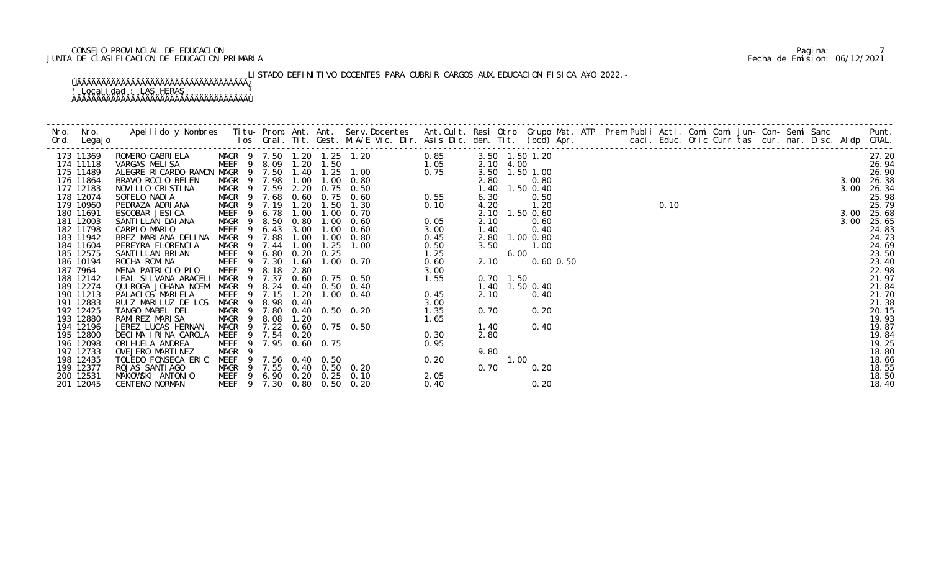# CONSEJO PROVINCIAL DE EDUCACION Pagina: 7 JUNTA DE CLASIFICACION DE EDUCACION PRIMARIA Fecha de Emision: 06/12/2021

LISTADO DEFINITIVO DOCENTES PARA CUBRIR CARGOS AUX. EDUCACION FISICA A¥O 2022. -

| 173 11369 | ROMERO GABRIELA MAGR 9 7.50 1.20 1.25 1.20 0.85<br>VARGAS MELISA MEEF 9 8.09 1.20 1.50 1.20 1.05                                                                                                                                           |                                                          |     |        |             |      |                                                               |              |      |             | 3.50 1.50 1.20 |  | 0.10 |  |  |  |      | 27.20      |
|-----------|--------------------------------------------------------------------------------------------------------------------------------------------------------------------------------------------------------------------------------------------|----------------------------------------------------------|-----|--------|-------------|------|---------------------------------------------------------------|--------------|------|-------------|----------------|--|------|--|--|--|------|------------|
| 174 11118 |                                                                                                                                                                                                                                            |                                                          |     |        |             |      |                                                               |              |      | 2.10 4.00   |                |  |      |  |  |  |      | 26.94      |
| 175 11489 | VARGAS MELISA WEEF 9 8.09 1.20 1.50 1.50 1.05<br>ALEGRE RICARDO RAMON MAGR 9 7.50 1.40 1.25 1.00 0.75<br>BRAVO ROCIO BELEN MAGR 9 7.98 1.00 1.00 0.80<br>NOVILLO CRISTINA MAGR 9 7.59 2.20 0.75 0.50<br>SOTELO NADIA MAGR 9 7.68 0.60 0.75 |                                                          |     |        |             |      |                                                               |              |      |             | 3.50 1.50 1.00 |  |      |  |  |  |      | 26.90      |
| 176 11864 |                                                                                                                                                                                                                                            |                                                          |     |        |             |      |                                                               |              | 2.80 |             | 0.80           |  |      |  |  |  |      | 3.00 26.38 |
| 177 12183 |                                                                                                                                                                                                                                            |                                                          |     |        |             |      |                                                               |              |      |             | 1.40 1.50 0.40 |  |      |  |  |  | 3.00 | 26.34      |
| 178 12074 |                                                                                                                                                                                                                                            |                                                          |     |        |             |      |                                                               |              | 6.30 |             | 0.50           |  |      |  |  |  |      | 25.98      |
| 179 10960 | PEDRAZA ADRIANA                                                                                                                                                                                                                            | MAGR 9 7.19                                              |     |        | 1. 20       | 1.50 | 1.30                                                          | 0.10         | 4.20 |             | 1.20           |  |      |  |  |  |      | 25.79      |
| 180 11691 | ESCOBAR JESICA                                                                                                                                                                                                                             | MEEF 9 6.78                                              |     |        | 1.00        | 1.00 | 0. 70                                                         |              |      |             | 2.10 1.50 0.60 |  |      |  |  |  |      | 3.00 25.68 |
| 181 12003 | SANTI LLAN DAI ANA                                                                                                                                                                                                                         | MAGR                                                     |     |        | 9 8.50 0.80 | 1.00 | 0.60                                                          | 0.05         | 2.10 |             | 0.60           |  |      |  |  |  | 3.00 | 25.65      |
| 182 11798 | CARPIO MARIO                                                                                                                                                                                                                               | MEEF                                                     | 9   | 6.43   | 3.00        | 1.00 | 0.60                                                          | 3.00         | 1.40 |             | 0.40           |  |      |  |  |  |      | 24.83      |
| 183 11942 | BREZ MARIANA DELINA                                                                                                                                                                                                                        | MAGR                                                     | - 9 | 7.88   | 1.00        |      | $1.00 \quad 0.80$                                             | 0.45         |      |             | 2.80 1.00 0.80 |  |      |  |  |  |      | 24.73      |
| 184 11604 | PEREYRA FLORENCIA                                                                                                                                                                                                                          | MAGR 9 7.44                                              |     |        | 1.00        | 1.25 | 1.00                                                          | 0.50         | 3.50 |             | 1.00           |  |      |  |  |  |      | 24.69      |
| 185 12575 | SANTI LLAN BRI AN                                                                                                                                                                                                                          | MEEF 9 6.80 0.20 0.25<br>MEEF 9 7.30 1.60 1.00           |     |        |             |      | $\begin{array}{r} 0.0000 \\ 1.25 \\ 0.60 \\ 3.00 \end{array}$ |              |      | 6.00        |                |  |      |  |  |  |      | 23.50      |
| 186 10194 | ROCHA ROMINA                                                                                                                                                                                                                               |                                                          |     |        |             |      | $1.00 \quad 0.70$                                             |              | 2.10 |             | $0.60$ $0.50$  |  |      |  |  |  |      | 23.40      |
| 187 7964  | MENA PATRICIO PIO                                                                                                                                                                                                                          | <b>MEEF</b>                                              | 9   | 8.18   | 2.80        |      | $3.00$<br>$3.00$<br>$1.55$<br>$-40$<br>$-40$                  |              |      |             |                |  |      |  |  |  |      | 22.98      |
| 188 12142 | LEAL SILVANA ARACELI                                                                                                                                                                                                                       | MAGR                                                     |     | 9 7.37 |             |      | 0.60 0.75 0.50                                                |              |      | $0.70$ 1.50 |                |  |      |  |  |  |      | 21.97      |
| 189 12274 | QUI ROGA JOHANA NOEMI MAGR                                                                                                                                                                                                                 |                                                          |     |        |             |      | 9 8.24 0.40 0.50 0.40                                         |              |      |             | 1.40 1.50 0.40 |  |      |  |  |  |      | 21.84      |
| 190 11213 | PALACIOS MARIELA                                                                                                                                                                                                                           | MEEF                                                     |     | 9 7.15 | 1.20        |      | $1.00 \t 0.40$                                                |              | 2.10 |             | 0.40           |  |      |  |  |  |      | 21.70      |
| 191 12883 | RUIZ MARILUZ DE LOS                                                                                                                                                                                                                        | MAGR 9 8.98 0.40                                         |     |        |             |      |                                                               | 3.00         |      |             |                |  |      |  |  |  |      | 21.38      |
| 192 12425 | TANGO MABEL DEL                                                                                                                                                                                                                            |                                                          |     |        |             |      | MAGR 9 7.80 0.40 0.50 0.20                                    | 1.35         | 0.70 |             | 0.20           |  |      |  |  |  |      | 20.15      |
| 193 12880 | RAMIREZ MARISA                                                                                                                                                                                                                             | MAGR 9 8.08 1.20                                         |     |        |             |      |                                                               |              |      |             |                |  |      |  |  |  |      | 19.93      |
| 194 12196 | JEREZ LUCAS HERNAN                                                                                                                                                                                                                         |                                                          |     |        |             |      | MAGR 9 7.22 0.60 0.75 0.50                                    |              | 1.40 |             | 0.40           |  |      |  |  |  |      | 19.87      |
| 195 12800 | DECIMA IRINA CAROLA                                                                                                                                                                                                                        | MEEF 9 7.54 0.20                                         |     |        |             |      |                                                               |              | 2.80 |             |                |  |      |  |  |  |      | 19.84      |
| 196 12098 | ORI HUELA ANDREA                                                                                                                                                                                                                           | MEEF 9 7.95 0.60 0.75                                    |     |        |             |      |                                                               |              |      |             |                |  |      |  |  |  |      | 19.25      |
| 197 12733 | OVEJERO MARTINEZ                                                                                                                                                                                                                           | MAGR <sub>9</sub>                                        |     |        |             |      |                                                               |              | 9.80 |             |                |  |      |  |  |  |      | 18.80      |
| 198 12435 | TOLEDO FONSECA ERIC                                                                                                                                                                                                                        | MEEF 9 7.56 0.40 0.50                                    |     |        |             |      | 0. 20<br>$1.65$<br>0. 50<br>0. 30<br>0. 95<br>0. 20<br>0. 20  |              |      | 1.00        |                |  |      |  |  |  |      | 18.66      |
| 199 12377 | ROJAS SANTI AGO                                                                                                                                                                                                                            | MAGR 9 7.55 0.40 0.50 0.20                               |     |        |             |      |                                                               |              | 0.70 |             | 0.20           |  |      |  |  |  |      | 18.55      |
| 200 12531 | MAKOWSKI ANTONIO                                                                                                                                                                                                                           | MEEF 9 6.90 0.20 0.25 0.10<br>MEEF 9 7.30 0.80 0.50 0.20 |     |        |             |      |                                                               | 2.05<br>0.40 |      |             | 0.20           |  |      |  |  |  |      | 18.50      |
| 201 12045 | CENTENO NORMAN                                                                                                                                                                                                                             |                                                          |     |        |             |      |                                                               |              |      |             |                |  |      |  |  |  |      | 18.40      |